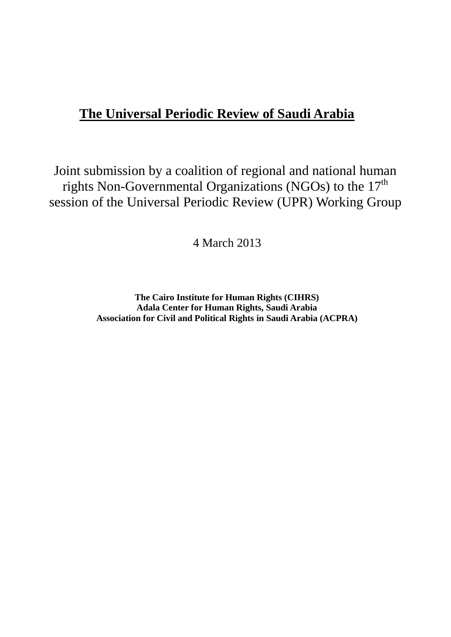# **The Universal Periodic Review of Saudi Arabia**

Joint submission by a coalition of regional and national human rights Non-Governmental Organizations (NGOs) to the  $17<sup>th</sup>$ session of the Universal Periodic Review (UPR) Working Group

4 March 2013

**The Cairo Institute for Human Rights (CIHRS) Adala Center for Human Rights, Saudi Arabia Association for Civil and Political Rights in Saudi Arabia (ACPRA)**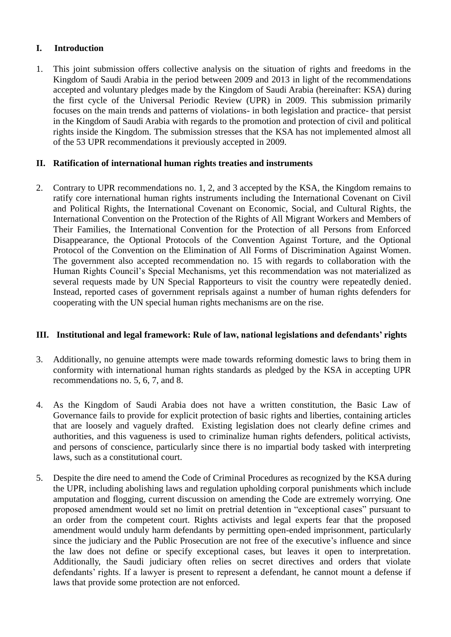### **I. Introduction**

1. This joint submission offers collective analysis on the situation of rights and freedoms in the Kingdom of Saudi Arabia in the period between 2009 and 2013 in light of the recommendations accepted and voluntary pledges made by the Kingdom of Saudi Arabia (hereinafter: KSA) during the first cycle of the Universal Periodic Review (UPR) in 2009. This submission primarily focuses on the main trends and patterns of violations- in both legislation and practice- that persist in the Kingdom of Saudi Arabia with regards to the promotion and protection of civil and political rights inside the Kingdom. The submission stresses that the KSA has not implemented almost all of the 53 UPR recommendations it previously accepted in 2009.

## **II. Ratification of international human rights treaties and instruments**

2. Contrary to UPR recommendations no. 1, 2, and 3 accepted by the KSA, the Kingdom remains to ratify core international human rights instruments including the International Covenant on Civil and Political Rights, the International Covenant on Economic, Social, and Cultural Rights, the International Convention on the Protection of the Rights of All Migrant Workers and Members of Their Families, the International Convention for the Protection of all Persons from Enforced Disappearance, the Optional Protocols of the Convention Against Torture, and the Optional Protocol of the Convention on the Elimination of All Forms of Discrimination Against Women. The government also accepted recommendation no. 15 with regards to collaboration with the Human Rights Council's Special Mechanisms, yet this recommendation was not materialized as several requests made by UN Special Rapporteurs to visit the country were repeatedly denied. Instead, reported cases of government reprisals against a number of human rights defenders for cooperating with the UN special human rights mechanisms are on the rise.

### **III. Institutional and legal framework: Rule of law, national legislations and defendants' rights**

- 3. Additionally, no genuine attempts were made towards reforming domestic laws to bring them in conformity with international human rights standards as pledged by the KSA in accepting UPR recommendations no. 5, 6, 7, and 8.
- 4. As the Kingdom of Saudi Arabia does not have a written constitution, the Basic Law of Governance fails to provide for explicit protection of basic rights and liberties, containing articles that are loosely and vaguely drafted. Existing legislation does not clearly define crimes and authorities, and this vagueness is used to criminalize human rights defenders, political activists, and persons of conscience, particularly since there is no impartial body tasked with interpreting laws, such as a constitutional court.
- 5. Despite the dire need to amend the Code of Criminal Procedures as recognized by the KSA during the UPR, including abolishing laws and regulation upholding corporal punishments which include amputation and flogging, current discussion on amending the Code are extremely worrying. One proposed amendment would set no limit on pretrial detention in "exceptional cases" pursuant to an order from the competent court. Rights activists and legal experts fear that the proposed amendment would unduly harm defendants by permitting open-ended imprisonment, particularly since the judiciary and the Public Prosecution are not free of the executive's influence and since the law does not define or specify exceptional cases, but leaves it open to interpretation. Additionally, the Saudi judiciary often relies on secret directives and orders that violate defendants' rights. If a lawyer is present to represent a defendant, he cannot mount a defense if laws that provide some protection are not enforced.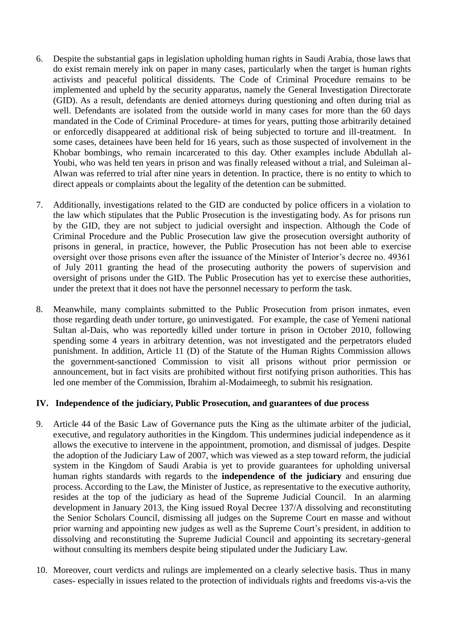- 6. Despite the substantial gaps in legislation upholding human rights in Saudi Arabia, those laws that do exist remain merely ink on paper in many cases, particularly when the target is human rights activists and peaceful political dissidents. The Code of Criminal Procedure remains to be implemented and upheld by the security apparatus, namely the General Investigation Directorate (GID). As a result, defendants are denied attorneys during questioning and often during trial as well. Defendants are isolated from the outside world in many cases for more than the 60 days mandated in the Code of Criminal Procedure- at times for years, putting those arbitrarily detained or enforcedly disappeared at additional risk of being subjected to torture and ill-treatment. In some cases, detainees have been held for 16 years, such as those suspected of involvement in the Khobar bombings, who remain incarcerated to this day. Other examples include Abdullah al-Youbi, who was held ten years in prison and was finally released without a trial, and Suleiman al-Alwan was referred to trial after nine years in detention. In practice, there is no entity to which to direct appeals or complaints about the legality of the detention can be submitted.
- 7. Additionally, investigations related to the GID are conducted by police officers in a violation to the law which stipulates that the Public Prosecution is the investigating body. As for prisons run by the GID, they are not subject to judicial oversight and inspection. Although the Code of Criminal Procedure and the Public Prosecution law give the prosecution oversight authority of prisons in general, in practice, however, the Public Prosecution has not been able to exercise oversight over those prisons even after the issuance of the Minister of Interior's decree no. 49361 of July 2011 granting the head of the prosecuting authority the powers of supervision and oversight of prisons under the GID. The Public Prosecution has yet to exercise these authorities, under the pretext that it does not have the personnel necessary to perform the task.
- 8. Meanwhile, many complaints submitted to the Public Prosecution from prison inmates, even those regarding death under torture, go uninvestigated. For example, the case of Yemeni national Sultan al-Dais, who was reportedly killed under torture in prison in October 2010, following spending some 4 years in arbitrary detention, was not investigated and the perpetrators eluded punishment. In addition, Article 11 (D) of the Statute of the Human Rights Commission allows the government-sanctioned Commission to visit all prisons without prior permission or announcement, but in fact visits are prohibited without first notifying prison authorities. This has led one member of the Commission, Ibrahim al-Modaimeegh, to submit his resignation.

#### **IV. Independence of the judiciary, Public Prosecution, and guarantees of due process**

- 9. Article 44 of the Basic Law of Governance puts the King as the ultimate arbiter of the judicial, executive, and regulatory authorities in the Kingdom. This undermines judicial independence as it allows the executive to intervene in the appointment, promotion, and dismissal of judges. Despite the adoption of the Judiciary Law of 2007, which was viewed as a step toward reform, the judicial system in the Kingdom of Saudi Arabia is yet to provide guarantees for upholding universal human rights standards with regards to the **independence of the judiciary** and ensuring due process. According to the Law, the Minister of Justice, as representative to the executive authority, resides at the top of the judiciary as head of the Supreme Judicial Council. In an alarming development in January 2013, the King issued Royal Decree 137/A dissolving and reconstituting the Senior Scholars Council, dismissing all judges on the Supreme Court en masse and without prior warning and appointing new judges as well as the Supreme Court's president, in addition to dissolving and reconstituting the Supreme Judicial Council and appointing its secretary-general without consulting its members despite being stipulated under the Judiciary Law.
- 10. Moreover, court verdicts and rulings are implemented on a clearly selective basis. Thus in many cases- especially in issues related to the protection of individuals rights and freedoms vis-a-vis the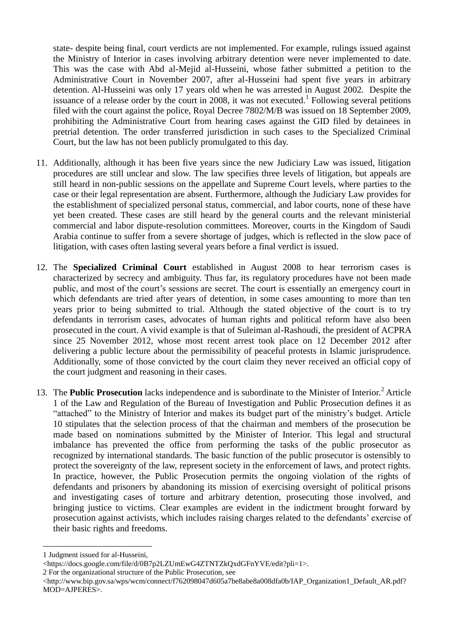state- despite being final, court verdicts are not implemented. For example, rulings issued against the Ministry of Interior in cases involving arbitrary detention were never implemented to date. This was the case with Abd al-Mejid al-Husseini, whose father submitted a petition to the Administrative Court in November 2007, after al-Husseini had spent five years in arbitrary detention. Al-Husseini was only 17 years old when he was arrested in August 2002. Despite the issuance of a release order by the court in 2008, it was not executed.<sup>1</sup> Following several petitions filed with the court against the police, Royal Decree 7802/M/B was issued on 18 September 2009, prohibiting the Administrative Court from hearing cases against the GID filed by detainees in pretrial detention. The order transferred jurisdiction in such cases to the Specialized Criminal Court, but the law has not been publicly promulgated to this day.

- 11. Additionally, although it has been five years since the new Judiciary Law was issued, litigation procedures are still unclear and slow. The law specifies three levels of litigation, but appeals are still heard in non-public sessions on the appellate and Supreme Court levels, where parties to the case or their legal representation are absent. Furthermore, although the Judiciary Law provides for the establishment of specialized personal status, commercial, and labor courts, none of these have yet been created. These cases are still heard by the general courts and the relevant ministerial commercial and labor dispute-resolution committees. Moreover, courts in the Kingdom of Saudi Arabia continue to suffer from a severe shortage of judges, which is reflected in the slow pace of litigation, with cases often lasting several years before a final verdict is issued.
- 12. The **Specialized Criminal Court** established in August 2008 to hear terrorism cases is characterized by secrecy and ambiguity. Thus far, its regulatory procedures have not been made public, and most of the court's sessions are secret. The court is essentially an emergency court in which defendants are tried after years of detention, in some cases amounting to more than ten years prior to being submitted to trial. Although the stated objective of the court is to try defendants in terrorism cases, advocates of human rights and political reform have also been prosecuted in the court. A vivid example is that of Suleiman al-Rashoudi, the president of ACPRA since 25 November 2012, whose most recent arrest took place on 12 December 2012 after delivering a public lecture about the permissibility of peaceful protests in Islamic jurisprudence. Additionally, some of those convicted by the court claim they never received an official copy of the court judgment and reasoning in their cases.
- 13. The **Public Prosecution** lacks independence and is subordinate to the Minister of Interior.<sup>2</sup> Article 1 of the Law and Regulation of the Bureau of Investigation and Public Prosecution defines it as "attached" to the Ministry of Interior and makes its budget part of the ministry's budget. Article 10 stipulates that the selection process of that the chairman and members of the prosecution be made based on nominations submitted by the Minister of Interior. This legal and structural imbalance has prevented the office from performing the tasks of the public prosecutor as recognized by international standards. The basic function of the public prosecutor is ostensibly to protect the sovereignty of the law, represent society in the enforcement of laws, and protect rights. In practice, however, the Public Prosecution permits the ongoing violation of the rights of defendants and prisoners by abandoning its mission of exercising oversight of political prisons and investigating cases of torture and arbitrary detention, prosecuting those involved, and bringing justice to victims. Clear examples are evident in the indictment brought forward by prosecution against activists, which includes raising charges related to the defendants' exercise of their basic rights and freedoms.

2 For the organizational structure of the Public Prosecution, see

 $\overline{a}$ 1 Judgment issued for al-Husseini,

<sup>&</sup>lt;https://docs.google.com/file/d/0B7p2LZUmEwG4ZTNTZkQxdGFnYVE/edit?pli=1>.

<sup>&</sup>lt;http://www.bip.gov.sa/wps/wcm/connect/f762098047d605a7be8abe8a008dfa0b/IAP\_Organization1\_Default\_AR.pdf? MOD=AJPERES>.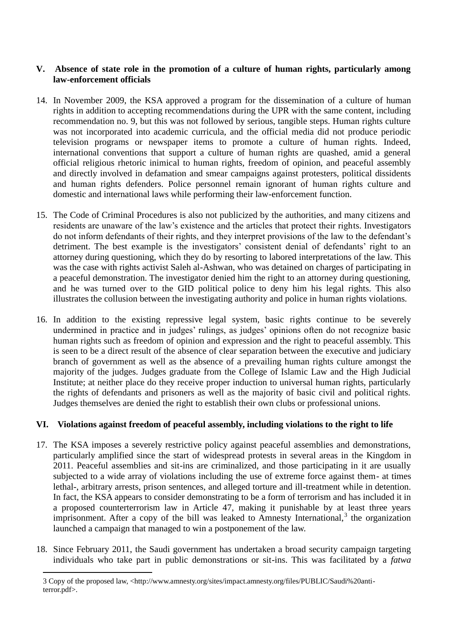#### **V. Absence of state role in the promotion of a culture of human rights, particularly among law-enforcement officials**

- 14. In November 2009, the KSA approved a program for the dissemination of a culture of human rights in addition to accepting recommendations during the UPR with the same content, including recommendation no. 9, but this was not followed by serious, tangible steps. Human rights culture was not incorporated into academic curricula, and the official media did not produce periodic television programs or newspaper items to promote a culture of human rights. Indeed, international conventions that support a culture of human rights are quashed, amid a general official religious rhetoric inimical to human rights, freedom of opinion, and peaceful assembly and directly involved in defamation and smear campaigns against protesters, political dissidents and human rights defenders. Police personnel remain ignorant of human rights culture and domestic and international laws while performing their law-enforcement function.
- 15. The Code of Criminal Procedures is also not publicized by the authorities, and many citizens and residents are unaware of the law's existence and the articles that protect their rights. Investigators do not inform defendants of their rights, and they interpret provisions of the law to the defendant's detriment. The best example is the investigators' consistent denial of defendants' right to an attorney during questioning, which they do by resorting to labored interpretations of the law. This was the case with rights activist Saleh al-Ashwan, who was detained on charges of participating in a peaceful demonstration. The investigator denied him the right to an attorney during questioning, and he was turned over to the GID political police to deny him his legal rights. This also illustrates the collusion between the investigating authority and police in human rights violations.
- 16. In addition to the existing repressive legal system, basic rights continue to be severely undermined in practice and in judges' rulings, as judges' opinions often do not recognize basic human rights such as freedom of opinion and expression and the right to peaceful assembly. This is seen to be a direct result of the absence of clear separation between the executive and judiciary branch of government as well as the absence of a prevailing human rights culture amongst the majority of the judges. Judges graduate from the College of Islamic Law and the High Judicial Institute; at neither place do they receive proper induction to universal human rights, particularly the rights of defendants and prisoners as well as the majority of basic civil and political rights. Judges themselves are denied the right to establish their own clubs or professional unions.

### **VI. Violations against freedom of peaceful assembly, including violations to the right to life**

- 17. The KSA imposes a severely restrictive policy against peaceful assemblies and demonstrations, particularly amplified since the start of widespread protests in several areas in the Kingdom in 2011. Peaceful assemblies and sit-ins are criminalized, and those participating in it are usually subjected to a wide array of violations including the use of extreme force against them- at times lethal-, arbitrary arrests, prison sentences, and alleged torture and ill-treatment while in detention. In fact, the KSA appears to consider demonstrating to be a form of terrorism and has included it in a proposed counterterrorism law in Article 47, making it punishable by at least three years imprisonment. After a copy of the bill was leaked to Amnesty International, $3$  the organization launched a campaign that managed to win a postponement of the law.
- 18. Since February 2011, the Saudi government has undertaken a broad security campaign targeting individuals who take part in public demonstrations or sit-ins. This was facilitated by a *fatwa*

 $\overline{a}$ 

<sup>3</sup> Copy of the proposed law, <http://www.amnesty.org/sites/impact.amnesty.org/files/PUBLIC/Saudi%20antiterror.pdf>.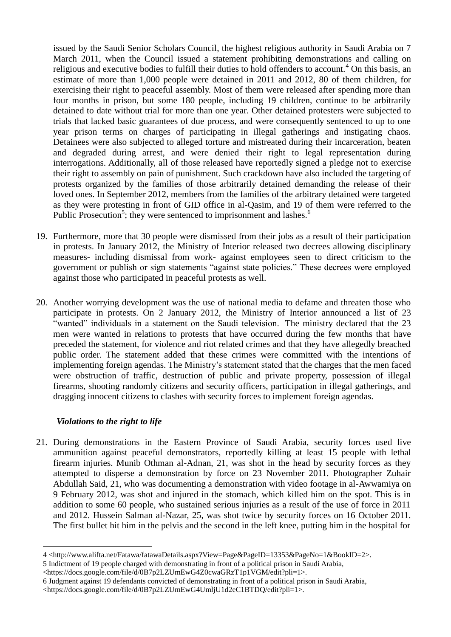issued by the Saudi Senior Scholars Council, the highest religious authority in Saudi Arabia on 7 March 2011, when the Council issued a statement prohibiting demonstrations and calling on religious and executive bodies to fulfill their duties to hold offenders to account.<sup>4</sup> On this basis, an estimate of more than 1,000 people were detained in 2011 and 2012, 80 of them children, for exercising their right to peaceful assembly. Most of them were released after spending more than four months in prison, but some 180 people, including 19 children, continue to be arbitrarily detained to date without trial for more than one year. Other detained protesters were subjected to trials that lacked basic guarantees of due process, and were consequently sentenced to up to one year prison terms on charges of participating in illegal gatherings and instigating chaos. Detainees were also subjected to alleged torture and mistreated during their incarceration, beaten and degraded during arrest, and were denied their right to legal representation during interrogations. Additionally, all of those released have reportedly signed a pledge not to exercise their right to assembly on pain of punishment. Such crackdown have also included the targeting of protests organized by the families of those arbitrarily detained demanding the release of their loved ones. In September 2012, members from the families of the arbitrary detained were targeted as they were protesting in front of GID office in al-Qasim, and 19 of them were referred to the Public Prosecution<sup>5</sup>; they were sentenced to imprisonment and lashes.<sup>6</sup>

- 19. Furthermore, more that 30 people were dismissed from their jobs as a result of their participation in protests. In January 2012, the Ministry of Interior released two decrees allowing disciplinary measures- including dismissal from work- against employees seen to direct criticism to the government or publish or sign statements "against state policies." These decrees were employed against those who participated in peaceful protests as well.
- 20. Another worrying development was the use of national media to defame and threaten those who participate in protests. On 2 January 2012, the Ministry of Interior announced a list of 23 "wanted" individuals in a statement on the Saudi television. The ministry declared that the 23 men were wanted in relations to protests that have occurred during the few months that have preceded the statement, for violence and riot related crimes and that they have allegedly breached public order. The statement added that these crimes were committed with the intentions of implementing foreign agendas. The Ministry's statement stated that the charges that the men faced were obstruction of traffic, destruction of public and private property, possession of illegal firearms, shooting randomly citizens and security officers, participation in illegal gatherings, and dragging innocent citizens to clashes with security forces to implement foreign agendas.

### *Violations to the right to life*

 $\overline{a}$ 

21. During demonstrations in the Eastern Province of Saudi Arabia, security forces used live ammunition against peaceful demonstrators, reportedly killing at least 15 people with lethal firearm injuries. Munib Othman al-Adnan, 21, was shot in the head by security forces as they attempted to disperse a demonstration by force on 23 November 2011. Photographer Zuhair Abdullah Said, 21, who was documenting a demonstration with video footage in al-Awwamiya on 9 February 2012, was shot and injured in the stomach, which killed him on the spot. This is in addition to some 60 people, who sustained serious injuries as a result of the use of force in 2011 and 2012. Hussein Salman al-Nazar, 25, was shot twice by security forces on 16 October 2011. The first bullet hit him in the pelvis and the second in the left knee, putting him in the hospital for

<sup>4</sup> <http://www.alifta.net/Fatawa/fatawaDetails.aspx?View=Page&PageID=13353&PageNo=1&BookID=2>.

<sup>5</sup> Indictment of 19 people charged with demonstrating in front of a political prison in Saudi Arabia,

<sup>&</sup>lt;https://docs.google.com/file/d/0B7p2LZUmEwG4Z0cwaGRzT1p1VGM/edit?pli=1>.

<sup>6</sup> Judgment against 19 defendants convicted of demonstrating in front of a political prison in Saudi Arabia, <https://docs.google.com/file/d/0B7p2LZUmEwG4UmljU1d2eC1BTDQ/edit?pli=1>.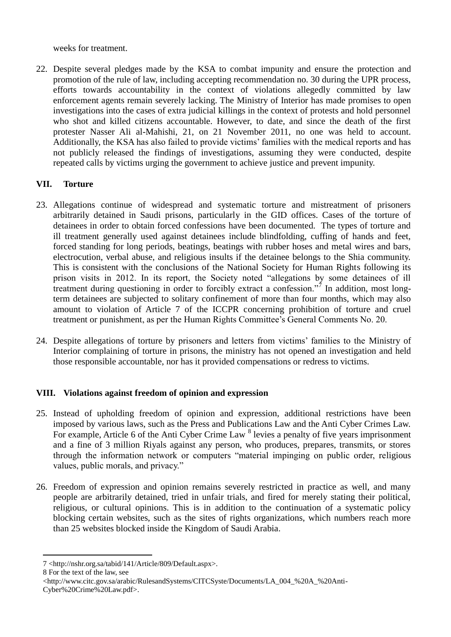weeks for treatment.

22. Despite several pledges made by the KSA to combat impunity and ensure the protection and promotion of the rule of law, including accepting recommendation no. 30 during the UPR process, efforts towards accountability in the context of violations allegedly committed by law enforcement agents remain severely lacking. The Ministry of Interior has made promises to open investigations into the cases of extra judicial killings in the context of protests and hold personnel who shot and killed citizens accountable. However, to date, and since the death of the first protester Nasser Ali al-Mahishi, 21, on 21 November 2011, no one was held to account. Additionally, the KSA has also failed to provide victims' families with the medical reports and has not publicly released the findings of investigations, assuming they were conducted, despite repeated calls by victims urging the government to achieve justice and prevent impunity.

# **VII. Torture**

- 23. Allegations continue of widespread and systematic torture and mistreatment of prisoners arbitrarily detained in Saudi prisons, particularly in the GID offices. Cases of the torture of detainees in order to obtain forced confessions have been documented. The types of torture and ill treatment generally used against detainees include blindfolding, cuffing of hands and feet, forced standing for long periods, beatings, beatings with rubber hoses and metal wires and bars, electrocution, verbal abuse, and religious insults if the detainee belongs to the Shia community. This is consistent with the conclusions of the National Society for Human Rights following its prison visits in 2012. In its report, the Society noted "allegations by some detainees of ill treatment during questioning in order to forcibly extract a confession."<sup>7</sup> In addition, most longterm detainees are subjected to solitary confinement of more than four months, which may also amount to violation of Article 7 of the ICCPR concerning prohibition of torture and cruel treatment or punishment, as per the Human Rights Committee's General Comments No. 20.
- 24. Despite allegations of torture by prisoners and letters from victims' families to the Ministry of Interior complaining of torture in prisons, the ministry has not opened an investigation and held those responsible accountable, nor has it provided compensations or redress to victims.

# **VIII. Violations against freedom of opinion and expression**

- 25. Instead of upholding freedom of opinion and expression, additional restrictions have been imposed by various laws, such as the Press and Publications Law and the Anti Cyber Crimes Law. For example, Article 6 of the Anti Cyber Crime Law <sup>8</sup> levies a penalty of five years imprisonment and a fine of 3 million Riyals against any person, who produces, prepares, transmits, or stores through the information network or computers "material impinging on public order, religious values, public morals, and privacy."
- 26. Freedom of expression and opinion remains severely restricted in practice as well, and many people are arbitrarily detained, tried in unfair trials, and fired for merely stating their political, religious, or cultural opinions. This is in addition to the continuation of a systematic policy blocking certain websites, such as the sites of rights organizations, which numbers reach more than 25 websites blocked inside the Kingdom of Saudi Arabia.

 $\overline{a}$ 7 <http://nshr.org.sa/tabid/141/Article/809/Default.aspx>.

<sup>8</sup> For the text of the law, see

<sup>&</sup>lt;http://www.citc.gov.sa/arabic/RulesandSystems/CITCSyste/Documents/LA\_004\_%20A\_%20Anti-Cyber%20Crime%20Law.pdf>.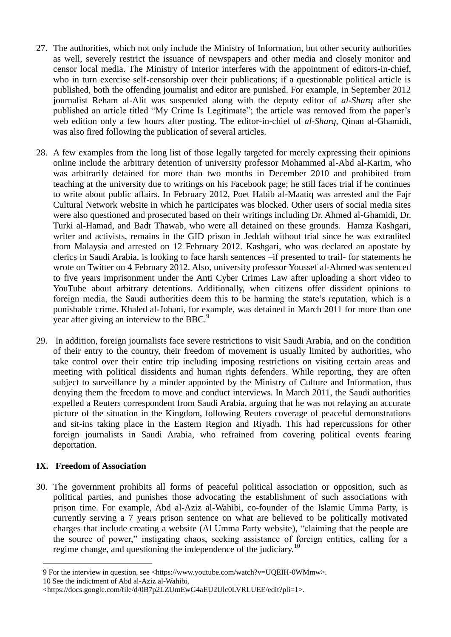- 27. The authorities, which not only include the Ministry of Information, but other security authorities as well, severely restrict the issuance of newspapers and other media and closely monitor and censor local media. The Ministry of Interior interferes with the appointment of editors-in-chief, who in turn exercise self-censorship over their publications; if a questionable political article is published, both the offending journalist and editor are punished. For example, in September 2012 journalist Reham al-Alit was suspended along with the deputy editor of *al-Sharq* after she published an article titled "My Crime Is Legitimate"; the article was removed from the paper's web edition only a few hours after posting. The editor-in-chief of *al-Sharq*, Qinan al-Ghamidi, was also fired following the publication of several articles.
- 28. A few examples from the long list of those legally targeted for merely expressing their opinions online include the arbitrary detention of university professor Mohammed al-Abd al-Karim, who was arbitrarily detained for more than two months in December 2010 and prohibited from teaching at the university due to writings on his Facebook page; he still faces trial if he continues to write about public affairs. In February 2012, Poet Habib al-Maatiq was arrested and the Fajr Cultural Network website in which he participates was blocked. Other users of social media sites were also questioned and prosecuted based on their writings including Dr. Ahmed al-Ghamidi, Dr. Turki al-Hamad, and Badr Thawab, who were all detained on these grounds. Hamza Kashgari, writer and activists, remains in the GID prison in Jeddah without trial since he was extradited from Malaysia and arrested on 12 February 2012. Kashgari, who was declared an apostate by clerics in Saudi Arabia, is looking to face harsh sentences –if presented to trail- for statements he wrote on Twitter on 4 February 2012. Also, university professor Youssef al-Ahmed was sentenced to five years imprisonment under the Anti Cyber Crimes Law after uploading a short video to YouTube about arbitrary detentions. Additionally, when citizens offer dissident opinions to foreign media, the Saudi authorities deem this to be harming the state's reputation, which is a punishable crime. Khaled al-Johani, for example, was detained in March 2011 for more than one year after giving an interview to the BBC.<sup>9</sup>
- 29. In addition, foreign journalists face severe restrictions to visit Saudi Arabia, and on the condition of their entry to the country, their freedom of movement is usually limited by authorities, who take control over their entire trip including imposing restrictions on visiting certain areas and meeting with political dissidents and human rights defenders. While reporting, they are often subject to surveillance by a minder appointed by the Ministry of Culture and Information, thus denying them the freedom to move and conduct interviews. In March 2011, the Saudi authorities expelled a Reuters correspondent from Saudi Arabia, arguing that he was not relaying an accurate picture of the situation in the Kingdom, following Reuters coverage of peaceful demonstrations and sit-ins taking place in the Eastern Region and Riyadh. This had repercussions for other foreign journalists in Saudi Arabia, who refrained from covering political events fearing deportation.

### **IX. Freedom of Association**

 $\overline{a}$ 

30. The government prohibits all forms of peaceful political association or opposition, such as political parties, and punishes those advocating the establishment of such associations with prison time. For example, Abd al-Aziz al-Wahibi, co-founder of the Islamic Umma Party, is currently serving a 7 years prison sentence on what are believed to be politically motivated charges that include creating a website (Al Umma Party website), "claiming that the people are the source of power," instigating chaos, seeking assistance of foreign entities, calling for a regime change, and questioning the independence of the judiciary.<sup>10</sup>

<sup>9</sup> For the interview in question, see <https://www.youtube.com/watch?v=UQEIH-0WMmw>.

<sup>10</sup> See the indictment of Abd al-Aziz al-Wahibi,

<sup>&</sup>lt;https://docs.google.com/file/d/0B7p2LZUmEwG4aEU2Ulc0LVRLUEE/edit?pli=1>.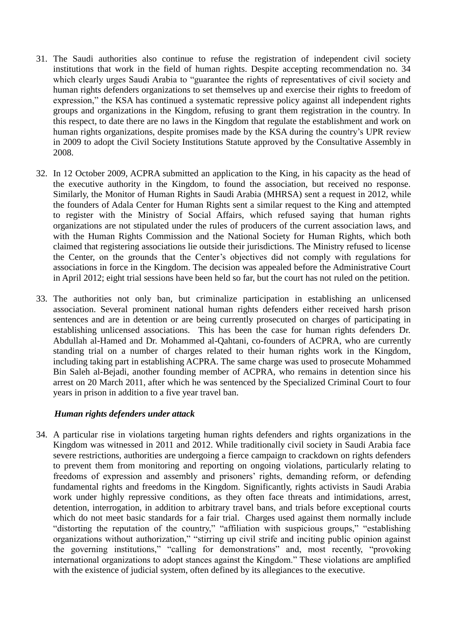- 31. The Saudi authorities also continue to refuse the registration of independent civil society institutions that work in the field of human rights. Despite accepting recommendation no. 34 which clearly urges Saudi Arabia to "guarantee the rights of representatives of civil society and human rights defenders organizations to set themselves up and exercise their rights to freedom of expression," the KSA has continued a systematic repressive policy against all independent rights groups and organizations in the Kingdom, refusing to grant them registration in the country. In this respect, to date there are no laws in the Kingdom that regulate the establishment and work on human rights organizations, despite promises made by the KSA during the country's UPR review in 2009 to adopt the Civil Society Institutions Statute approved by the Consultative Assembly in 2008.
- 32. In 12 October 2009, ACPRA submitted an application to the King, in his capacity as the head of the executive authority in the Kingdom, to found the association, but received no response. Similarly, the Monitor of Human Rights in Saudi Arabia (MHRSA) sent a request in 2012, while the founders of Adala Center for Human Rights sent a similar request to the King and attempted to register with the Ministry of Social Affairs, which refused saying that human rights organizations are not stipulated under the rules of producers of the current association laws, and with the Human Rights Commission and the National Society for Human Rights, which both claimed that registering associations lie outside their jurisdictions. The Ministry refused to license the Center, on the grounds that the Center's objectives did not comply with regulations for associations in force in the Kingdom. The decision was appealed before the Administrative Court in April 2012; eight trial sessions have been held so far, but the court has not ruled on the petition.
- 33. The authorities not only ban, but criminalize participation in establishing an unlicensed association. Several prominent national human rights defenders either received harsh prison sentences and are in detention or are being currently prosecuted on charges of participating in establishing unlicensed associations. This has been the case for human rights defenders Dr. Abdullah al-Hamed and Dr. Mohammed al-Qahtani, co-founders of ACPRA, who are currently standing trial on a number of charges related to their human rights work in the Kingdom, including taking part in establishing ACPRA. The same charge was used to prosecute Mohammed Bin Saleh al-Bejadi, another founding member of ACPRA, who remains in detention since his arrest on 20 March 2011, after which he was sentenced by the Specialized Criminal Court to four years in prison in addition to a five year travel ban.

#### *Human rights defenders under attack*

34. A particular rise in violations targeting human rights defenders and rights organizations in the Kingdom was witnessed in 2011 and 2012. While traditionally civil society in Saudi Arabia face severe restrictions, authorities are undergoing a fierce campaign to crackdown on rights defenders to prevent them from monitoring and reporting on ongoing violations, particularly relating to freedoms of expression and assembly and prisoners' rights, demanding reform, or defending fundamental rights and freedoms in the Kingdom. Significantly, rights activists in Saudi Arabia work under highly repressive conditions, as they often face threats and intimidations, arrest, detention, interrogation, in addition to arbitrary travel bans, and trials before exceptional courts which do not meet basic standards for a fair trial. Charges used against them normally include "distorting the reputation of the country," "affiliation with suspicious groups," "establishing organizations without authorization," "stirring up civil strife and inciting public opinion against the governing institutions," "calling for demonstrations" and, most recently, "provoking international organizations to adopt stances against the Kingdom." These violations are amplified with the existence of judicial system, often defined by its allegiances to the executive.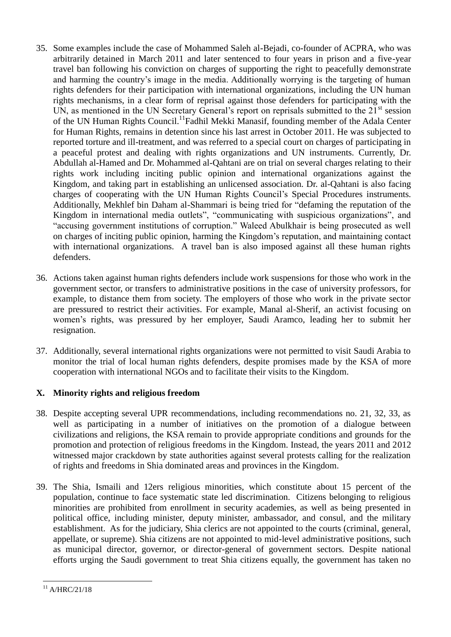- 35. Some examples include the case of Mohammed Saleh al-Bejadi, co-founder of ACPRA, who was arbitrarily detained in March 2011 and later sentenced to four years in prison and a five-year travel ban following his conviction on charges of supporting the right to peacefully demonstrate and harming the country's image in the media. Additionally worrying is the targeting of human rights defenders for their participation with international organizations, including the UN human rights mechanisms, in a clear form of reprisal against those defenders for participating with the UN, as mentioned in the UN Secretary General's report on reprisals submitted to the 21<sup>st</sup> session of the UN Human Rights Council.<sup>11</sup>Fadhil Mekki Manasif, founding member of the Adala Center for Human Rights, remains in detention since his last arrest in October 2011. He was subjected to reported torture and ill-treatment, and was referred to a special court on charges of participating in a peaceful protest and dealing with rights organizations and UN instruments. Currently, Dr. Abdullah al-Hamed and Dr. Mohammed al-Qahtani are on trial on several charges relating to their rights work including inciting public opinion and international organizations against the Kingdom, and taking part in establishing an unlicensed association. Dr. al-Qahtani is also facing charges of cooperating with the UN Human Rights Council's Special Procedures instruments. Additionally, Mekhlef bin Daham al-Shammari is being tried for "defaming the reputation of the Kingdom in international media outlets", "communicating with suspicious organizations", and "accusing government institutions of corruption." Waleed Abulkhair is being prosecuted as well on charges of inciting public opinion, harming the Kingdom's reputation, and maintaining contact with international organizations. A travel ban is also imposed against all these human rights defenders.
- 36. Actions taken against human rights defenders include work suspensions for those who work in the government sector, or transfers to administrative positions in the case of university professors, for example, to distance them from society. The employers of those who work in the private sector are pressured to restrict their activities. For example, Manal al-Sherif, an activist focusing on women's rights, was pressured by her employer, Saudi Aramco, leading her to submit her resignation.
- 37. Additionally, several international rights organizations were not permitted to visit Saudi Arabia to monitor the trial of local human rights defenders, despite promises made by the KSA of more cooperation with international NGOs and to facilitate their visits to the Kingdom.

# **X. Minority rights and religious freedom**

- 38. Despite accepting several UPR recommendations, including recommendations no. 21, 32, 33, as well as participating in a number of initiatives on the promotion of a dialogue between civilizations and religions, the KSA remain to provide appropriate conditions and grounds for the promotion and protection of religious freedoms in the Kingdom. Instead, the years 2011 and 2012 witnessed major crackdown by state authorities against several protests calling for the realization of rights and freedoms in Shia dominated areas and provinces in the Kingdom.
- 39. The Shia, Ismaili and 12ers religious minorities, which constitute about 15 percent of the population, continue to face systematic state led discrimination. Citizens belonging to religious minorities are prohibited from enrollment in security academies, as well as being presented in political office, including minister, deputy minister, ambassador, and consul, and the military establishment. As for the judiciary, Shia clerics are not appointed to the courts (criminal, general, appellate, or supreme). Shia citizens are not appointed to mid-level administrative positions, such as municipal director, governor, or director-general of government sectors. Despite national efforts urging the Saudi government to treat Shia citizens equally, the government has taken no

 $\overline{a}$  $11$  A/HRC/21/18